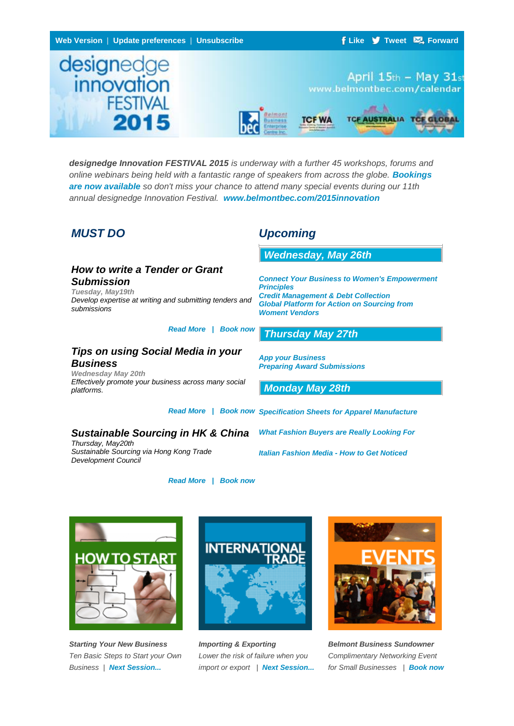

*designedge Innovation FESTIVAL 2015 is underway with a further 45 workshops, forums and online webinars being held with a fantastic range of speakers from across the globe. [Bookings](http://bbec.bridgewaymailer.com/t/j-i-dulkjut-xjidtbuy-n/)  [are now available](http://bbec.bridgewaymailer.com/t/j-i-dulkjut-xjidtbuy-n/) so don't miss your chance to attend many special events during our 11th annual designedge Innovation Festival. [www.belmontbec.com/2015innovation](http://bbec.bridgewaymailer.com/t/j-i-dulkjut-xjidtbuy-s/)*

## *How to write a Tender or Grant Submission*

*Tuesday, May19th Develop expertise at writing and submitting tenders and submissions*

#### *[Read More | Book now](http://bbec.bridgewaymailer.com/t/j-i-dulkjut-xjidtbuy-yd/)*

*[Read More | Book now](http://bbec.bridgewaymailer.com/t/j-i-dulkjut-xjidtbuy-yk/)*

## *Tips on using Social Media in your Business*

*Wednesday May 20th Effectively promote your business across many social platforms.*

# *MUST DO Upcoming*

*[Wednesday, May 26th](http://bbec.bridgewaymailer.com/t/j-i-dulkjut-xjidtbuy-yu/)*

*[Connect Your Business to Women's Empowerment](http://bbec.bridgewaymailer.com/t/j-i-dulkjut-xjidtbuy-jl/)  [Principles](http://bbec.bridgewaymailer.com/t/j-i-dulkjut-xjidtbuy-jl/) [Credit Management & Debt Collection](http://bbec.bridgewaymailer.com/t/j-i-dulkjut-xjidtbuy-jl/) [Global Platform for Action on Sourcing from](http://bbec.bridgewaymailer.com/t/j-i-dulkjut-xjidtbuy-jl/)  [Woment Vendors](http://bbec.bridgewaymailer.com/t/j-i-dulkjut-xjidtbuy-jl/)*

## *[Thursday May 27](http://bbec.bridgewaymailer.com/t/j-i-dulkjut-xjidtbuy-jr/)th*

*App your [Business](http://bbec.bridgewaymailer.com/t/j-i-dulkjut-xjidtbuy-jy/) [Preparing Award Submissions](http://bbec.bridgewaymailer.com/t/j-i-dulkjut-xjidtbuy-jy/)*

*[Monday May 28](http://bbec.bridgewaymailer.com/t/j-i-dulkjut-xjidtbuy-jj/)th*

*[Read More | Book now](http://bbec.bridgewaymailer.com/t/j-i-dulkjut-xjidtbuy-yh/) [Specification Sheets for Apparel Manufacture](http://bbec.bridgewaymailer.com/t/j-i-dulkjut-xjidtbuy-jt/)*

## *Sustainable Sourcing in HK & China*

*Thursday, May20th Sustainable Sourcing via Hong Kong Trade Development Council*

*[What Fashion Buyers are Really Looking For](http://bbec.bridgewaymailer.com/t/j-i-dulkjut-xjidtbuy-ji/)*

*[Italian Fashion Media -](http://bbec.bridgewaymailer.com/t/j-i-dulkjut-xjidtbuy-jd/) How to Get Noticed*



*Starting Your New Business Ten Basic Steps to Start your Own Business | [Next Session...](http://bbec.bridgewaymailer.com/t/j-i-dulkjut-xjidtbuy-jk/)*



*Importing & Exporting Lower the risk of failure when you import or export | [Next Session...](http://bbec.bridgewaymailer.com/t/j-i-dulkjut-xjidtbuy-tl/)*



*Belmont Business Sundowner Complimentary Networking Event for Small Businesses | [Book now](http://bbec.bridgewaymailer.com/t/j-i-dulkjut-xjidtbuy-ty/)*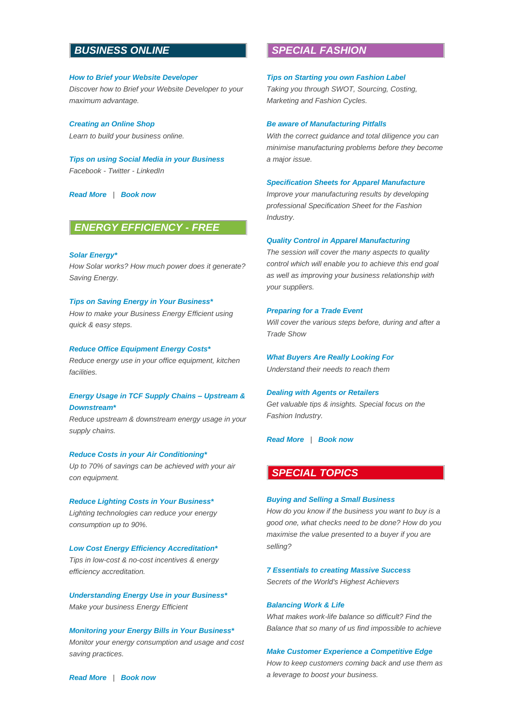## *[B](http://bbec.bridgewaymailer.com/t/j-i-dulkjut-xjidtbuy-tj/)USINESS ONLINE*

## *[How to Brief your Website Developer](http://bbec.bridgewaymailer.com/t/j-i-dulkjut-xjidtbuy-tt/) Discover how to Brief your Website Developer to your maximum advantage.*

*[Creating an Online Shop](http://bbec.bridgewaymailer.com/t/j-i-dulkjut-xjidtbuy-ti/) Learn to build your business online.*

*[Tips on using Social Media in your Business](http://bbec.bridgewaymailer.com/t/j-i-dulkjut-xjidtbuy-td/) Facebook - Twitter - LinkedIn*

*[Read More](http://bbec.bridgewaymailer.com/t/j-i-dulkjut-xjidtbuy-th/) | [Book now](http://bbec.bridgewaymailer.com/t/j-i-dulkjut-xjidtbuy-tk/)*

## *[E](http://bbec.bridgewaymailer.com/t/j-i-dulkjut-xjidtbuy-tu/)NERGY EFFICIENCY - FREE*

*[Solar Energy\\*](http://bbec.bridgewaymailer.com/t/j-i-dulkjut-xjidtbuy-il/) How Solar works? How much power does it generate? Saving Energy.*

## *[Tips on Saving Energy in Your Business\\*](http://bbec.bridgewaymailer.com/t/j-i-dulkjut-xjidtbuy-ir/)*

*How to make your Business Energy Efficient using quick & easy steps.*

#### *[Reduce Office Equipment Energy Costs\\*](http://bbec.bridgewaymailer.com/t/j-i-dulkjut-xjidtbuy-iy/)*

*Reduce energy use in your office equipment, kitchen facilities.*

### *[Energy Usage in TCF Supply Chains –](http://bbec.bridgewaymailer.com/t/j-i-dulkjut-xjidtbuy-ij/) Upstream & [Downstream\\*](http://bbec.bridgewaymailer.com/t/j-i-dulkjut-xjidtbuy-ij/)*

*Reduce upstream & downstream energy usage in your supply chains.*

#### *[Reduce Costs in your Air Conditioning\\*](http://bbec.bridgewaymailer.com/t/j-i-dulkjut-xjidtbuy-it/)*

*Up to 70% of savings can be achieved with your air con equipment.*

*[Reduce Lighting Costs in Your Business\\*](http://bbec.bridgewaymailer.com/t/j-i-dulkjut-xjidtbuy-ii/) Lighting technologies can reduce your energy consumption up to 90%.*

*[Low Cost Energy Efficiency Accreditation\\*](http://bbec.bridgewaymailer.com/t/j-i-dulkjut-xjidtbuy-id/) Tips in low-cost & no-cost incentives & energy efficiency accreditation.*

*[Understanding Energy Use in your Business\\*](http://bbec.bridgewaymailer.com/t/j-i-dulkjut-xjidtbuy-ih/) Make your business Energy Efficient*

*[Monitoring your Energy Bills in Your Business\\*](http://bbec.bridgewaymailer.com/t/j-i-dulkjut-xjidtbuy-ik/) Monitor your energy consumption and usage and cost saving practices.*

## *[S](http://bbec.bridgewaymailer.com/t/j-i-dulkjut-xjidtbuy-dr/)PECIAL FASHION*

#### *[Tips on Starting you own Fashion Label](http://bbec.bridgewaymailer.com/t/j-i-dulkjut-xjidtbuy-dy/)*

*Taking you through SWOT, Sourcing, Costing, Marketing and Fashion Cycles.*

#### *[Be aware of Manufacturing Pitfalls](http://bbec.bridgewaymailer.com/t/j-i-dulkjut-xjidtbuy-dj/)*

*With the correct guidance and total diligence you can minimise manufacturing problems before they become a major issue.*

#### *[Specification Sheets for Apparel Manufacture](http://bbec.bridgewaymailer.com/t/j-i-dulkjut-xjidtbuy-dt/)*

*Improve your manufacturing results by developing professional Specification Sheet for the Fashion Industry.*

#### *[Quality Control in Apparel Manufacturing](http://bbec.bridgewaymailer.com/t/j-i-dulkjut-xjidtbuy-di/)*

*The session will cover the many aspects to quality control which will enable you to achieve this end goal as well as improving your business relationship with your suppliers.*

#### *[Preparing for a Trade Event](http://bbec.bridgewaymailer.com/t/j-i-dulkjut-xjidtbuy-dd/)*

*Will cover the various steps before, during and after a Trade Show*

#### *[What Buyers Are Really Looking For](http://bbec.bridgewaymailer.com/t/j-i-dulkjut-xjidtbuy-dh/)*

*Understand their needs to reach them*

#### *[Dealing with Agents or Retailers](http://bbec.bridgewaymailer.com/t/j-i-dulkjut-xjidtbuy-dk/)*

*Get valuable tips & insights. Special focus on the Fashion Industry.*

*[Read More](http://bbec.bridgewaymailer.com/t/j-i-dulkjut-xjidtbuy-du/) | [Book now](http://bbec.bridgewaymailer.com/t/j-i-dulkjut-xjidtbuy-hl/)*

## *[S](http://bbec.bridgewaymailer.com/t/j-i-dulkjut-xjidtbuy-hr/)PECIAL TOPICS*

### *[Buying and Selling a Small Business](http://bbec.bridgewaymailer.com/t/j-i-dulkjut-xjidtbuy-hy/)*

*How do you know if the business you want to buy is a good one, what checks need to be done? How do you maximise the value presented to a buyer if you are selling?*

*[7 Essentials to creating Massive Success](http://bbec.bridgewaymailer.com/t/j-i-dulkjut-xjidtbuy-hj/) Secrets of the World's Highest Achievers*

#### *[Balancing Work & Life](http://bbec.bridgewaymailer.com/t/j-i-dulkjut-xjidtbuy-ht/)*

*What makes work-life balance so difficult? Find the Balance that so many of us find impossible to achieve*

#### *[Make Customer Experience a](http://bbec.bridgewaymailer.com/t/j-i-dulkjut-xjidtbuy-hi/) Competitive Edge*

*How to keep customers coming back and use them as a leverage to boost your business.*

*[Read More](http://bbec.bridgewaymailer.com/t/j-i-dulkjut-xjidtbuy-iu/) | [Book now](http://bbec.bridgewaymailer.com/t/j-i-dulkjut-xjidtbuy-dl/)*